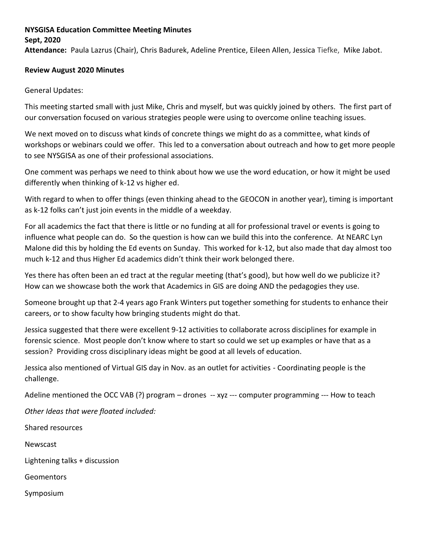### **NYSGISA Education Committee Meeting Minutes**

### **Sept, 2020**

**Attendance:** Paula Lazrus (Chair), Chris Badurek, Adeline Prentice, Eileen Allen, Jessica Tiefke, Mike Jabot.

#### **Review August 2020 Minutes**

#### General Updates:

This meeting started small with just Mike, Chris and myself, but was quickly joined by others. The first part of our conversation focused on various strategies people were using to overcome online teaching issues.

We next moved on to discuss what kinds of concrete things we might do as a committee, what kinds of workshops or webinars could we offer. This led to a conversation about outreach and how to get more people to see NYSGISA as one of their professional associations.

One comment was perhaps we need to think about how we use the word education, or how it might be used differently when thinking of k-12 vs higher ed.

With regard to when to offer things (even thinking ahead to the GEOCON in another year), timing is important as k-12 folks can't just join events in the middle of a weekday.

For all academics the fact that there is little or no funding at all for professional travel or events is going to influence what people can do. So the question is how can we build this into the conference. At NEARC Lyn Malone did this by holding the Ed events on Sunday. This worked for k-12, but also made that day almost too much k-12 and thus Higher Ed academics didn't think their work belonged there.

Yes there has often been an ed tract at the regular meeting (that's good), but how well do we publicize it? How can we showcase both the work that Academics in GIS are doing AND the pedagogies they use.

Someone brought up that 2-4 years ago Frank Winters put together something for students to enhance their careers, or to show faculty how bringing students might do that.

Jessica suggested that there were excellent 9-12 activities to collaborate across disciplines for example in forensic science. Most people don't know where to start so could we set up examples or have that as a session? Providing cross disciplinary ideas might be good at all levels of education.

Jessica also mentioned of Virtual GIS day in Nov. as an outlet for activities - Coordinating people is the challenge.

Adeline mentioned the OCC VAB (?) program – drones -- xyz --- computer programming --- How to teach

*Other Ideas that were floated included:*

Shared resources

Newscast

Lightening talks + discussion

**Geomentors** 

Symposium